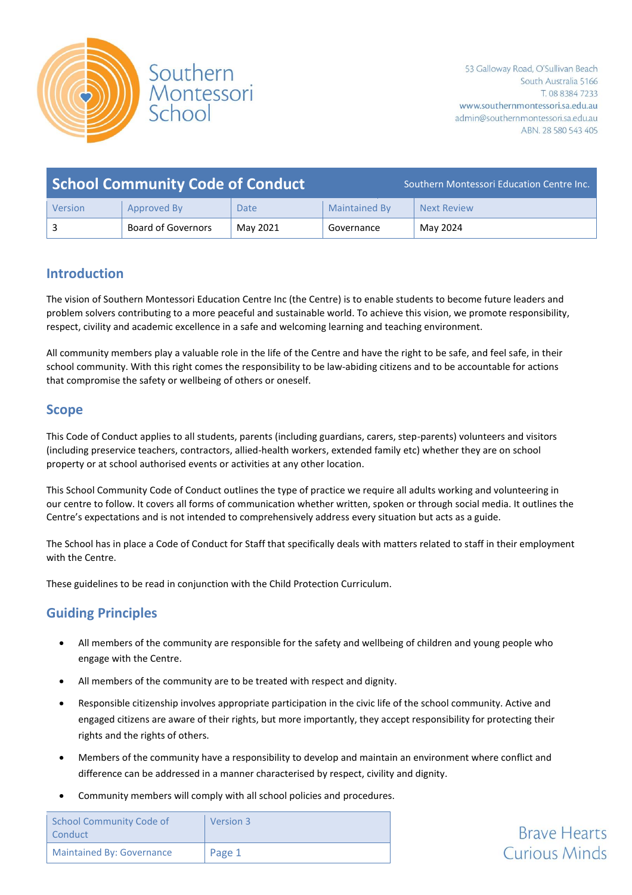

| <b>School Community Code of Conduct</b> |                           |             |               | Southern Montessori Education Centre Inc. |
|-----------------------------------------|---------------------------|-------------|---------------|-------------------------------------------|
| Version                                 | Approved By               | <b>Date</b> | Maintained By | <b>Next Review</b>                        |
|                                         | <b>Board of Governors</b> | May 2021    | Governance    | May 2024                                  |

# **Introduction**

The vision of Southern Montessori Education Centre Inc (the Centre) is to enable students to become future leaders and problem solvers contributing to a more peaceful and sustainable world. To achieve this vision, we promote responsibility, respect, civility and academic excellence in a safe and welcoming learning and teaching environment.

All community members play a valuable role in the life of the Centre and have the right to be safe, and feel safe, in their school community. With this right comes the responsibility to be law-abiding citizens and to be accountable for actions that compromise the safety or wellbeing of others or oneself.

### **Scope**

This Code of Conduct applies to all students, parents (including guardians, carers, step-parents) volunteers and visitors (including preservice teachers, contractors, allied-health workers, extended family etc) whether they are on school property or at school authorised events or activities at any other location.

This School Community Code of Conduct outlines the type of practice we require all adults working and volunteering in our centre to follow. It covers all forms of communication whether written, spoken or through social media. It outlines the Centre's expectations and is not intended to comprehensively address every situation but acts as a guide.

The School has in place a Code of Conduct for Staff that specifically deals with matters related to staff in their employment with the Centre.

These guidelines to be read in conjunction with the Child Protection Curriculum.

# **Guiding Principles**

- All members of the community are responsible for the safety and wellbeing of children and young people who engage with the Centre.
- All members of the community are to be treated with respect and dignity.
- Responsible citizenship involves appropriate participation in the civic life of the school community. Active and engaged citizens are aware of their rights, but more importantly, they accept responsibility for protecting their rights and the rights of others.
- Members of the community have a responsibility to develop and maintain an environment where conflict and difference can be addressed in a manner characterised by respect, civility and dignity.
- Community members will comply with all school policies and procedures.

| School Community Code of<br>Conduct | Version 3 |
|-------------------------------------|-----------|
| <b>Maintained By: Governance</b>    | Page 1    |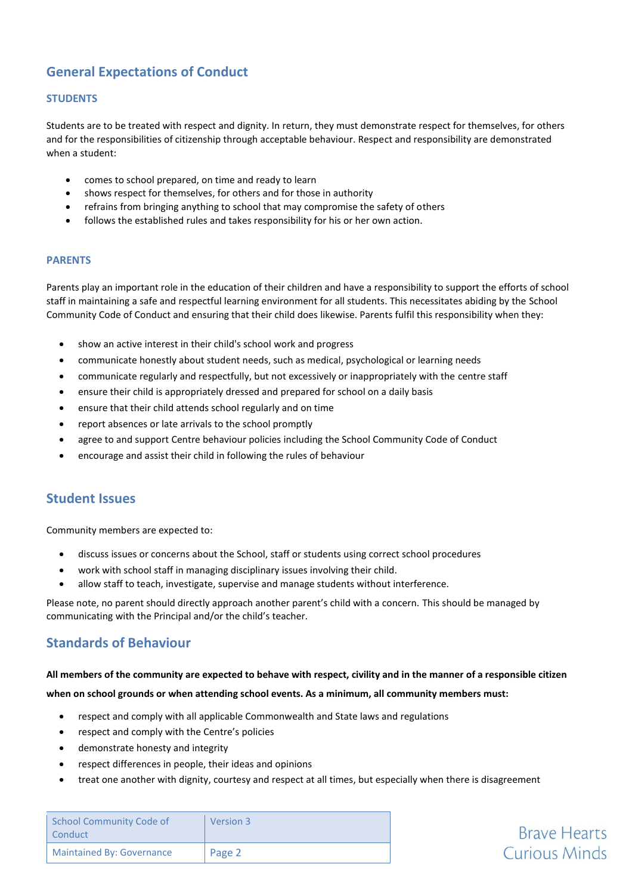# **General Expectations of Conduct**

### **STUDENTS**

Students are to be treated with respect and dignity. In return, they must demonstrate respect for themselves, for others and for the responsibilities of citizenship through acceptable behaviour. Respect and responsibility are demonstrated when a student:

- comes to school prepared, on time and ready to learn
- shows respect for themselves, for others and for those in authority
- refrains from bringing anything to school that may compromise the safety of others
- follows the established rules and takes responsibility for his or her own action.

### **PARENTS**

Parents play an important role in the education of their children and have a responsibility to support the efforts of school staff in maintaining a safe and respectful learning environment for all students. This necessitates abiding by the School Community Code of Conduct and ensuring that their child does likewise. Parents fulfil this responsibility when they:

- show an active interest in their child's school work and progress
- communicate honestly about student needs, such as medical, psychological or learning needs
- communicate regularly and respectfully, but not excessively or inappropriately with the centre staff
- ensure their child is appropriately dressed and prepared for school on a daily basis
- ensure that their child attends school regularly and on time
- report absences or late arrivals to the school promptly
- agree to and support Centre behaviour policies including the School Community Code of Conduct
- encourage and assist their child in following the rules of behaviour

### **Student Issues**

Community members are expected to:

- discuss issues or concerns about the School, staff or students using correct school procedures
- work with school staff in managing disciplinary issues involving their child.
- allow staff to teach, investigate, supervise and manage students without interference.

Please note, no parent should directly approach another parent's child with a concern. This should be managed by communicating with the Principal and/or the child's teacher.

### **Standards of Behaviour**

#### **All members of the community are expected to behave with respect, civility and in the manner of a responsible citizen**

#### **when on school grounds or when attending school events. As a minimum, all community members must:**

- respect and comply with all applicable Commonwealth and State laws and regulations
- respect and comply with the Centre's policies
- demonstrate honesty and integrity
- respect differences in people, their ideas and opinions
- treat one another with dignity, courtesy and respect at all times, but especially when there is disagreement

| <b>School Community Code of</b><br>Conduct | <b>Version 3</b> |
|--------------------------------------------|------------------|
| <b>Maintained By: Governance</b>           | Page 2           |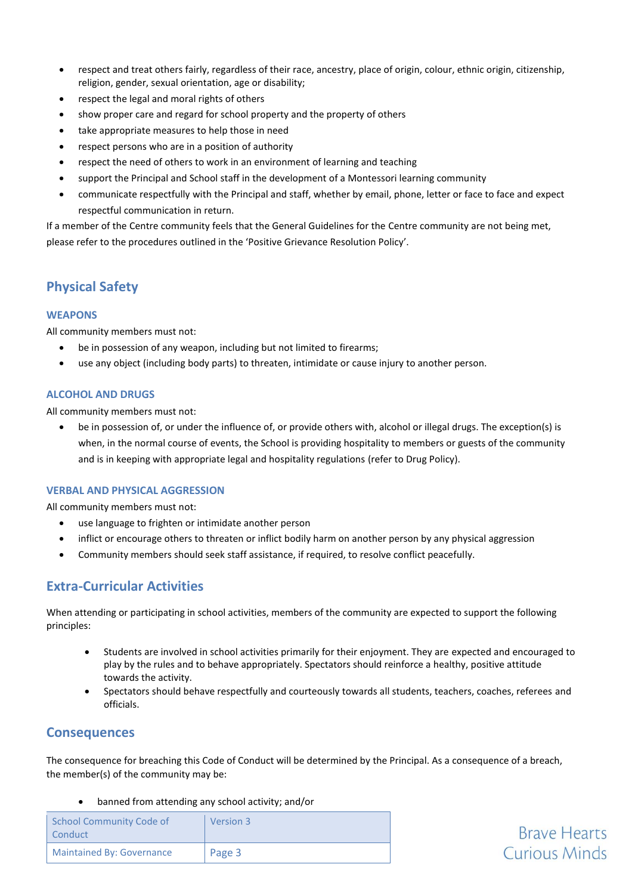- respect and treat others fairly, regardless of their race, ancestry, place of origin, colour, ethnic origin, citizenship, religion, gender, sexual orientation, age or disability;
- respect the legal and moral rights of others
- show proper care and regard for school property and the property of others
- take appropriate measures to help those in need
- respect persons who are in a position of authority
- respect the need of others to work in an environment of learning and teaching
- support the Principal and School staff in the development of a Montessori learning community
- communicate respectfully with the Principal and staff, whether by email, phone, letter or face to face and expect respectful communication in return.

If a member of the Centre community feels that the General Guidelines for the Centre community are not being met, please refer to the procedures outlined in the 'Positive Grievance Resolution Policy'.

# **Physical Safety**

### **WEAPONS**

All community members must not:

- be in possession of any weapon, including but not limited to firearms;
- use any object (including body parts) to threaten, intimidate or cause injury to another person.

### **ALCOHOL AND DRUGS**

All community members must not:

• be in possession of, or under the influence of, or provide others with, alcohol or illegal drugs. The exception(s) is when, in the normal course of events, the School is providing hospitality to members or guests of the community and is in keeping with appropriate legal and hospitality regulations (refer to Drug Policy).

### **VERBAL AND PHYSICAL AGGRESSION**

All community members must not:

- use language to frighten or intimidate another person
- inflict or encourage others to threaten or inflict bodily harm on another person by any physical aggression
- Community members should seek staff assistance, if required, to resolve conflict peacefully.

# **Extra-Curricular Activities**

When attending or participating in school activities, members of the community are expected to support the following principles:

- Students are involved in school activities primarily for their enjoyment. They are expected and encouraged to play by the rules and to behave appropriately. Spectators should reinforce a healthy, positive attitude towards the activity.
- Spectators should behave respectfully and courteously towards all students, teachers, coaches, referees and officials.

**Brave Hearts Curious Minds** 

### **Consequences**

The consequence for breaching this Code of Conduct will be determined by the Principal. As a consequence of a breach, the member(s) of the community may be:

• banned from attending any school activity; and/or

| <b>School Community Code of</b><br>Conduct | Version 3 |
|--------------------------------------------|-----------|
| <b>Maintained By: Governance</b>           | Page 3    |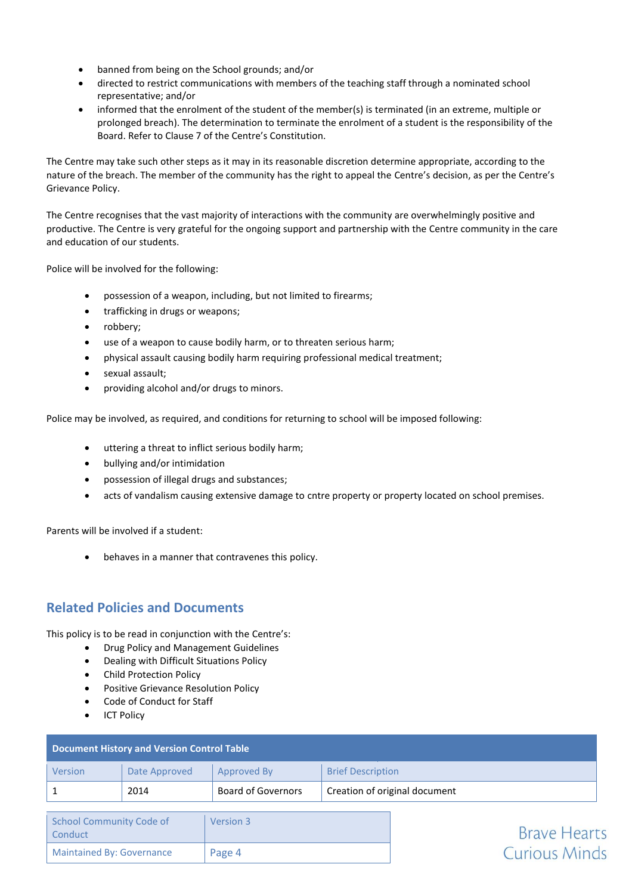- banned from being on the School grounds; and/or
- directed to restrict communications with members of the teaching staff through a nominated school representative; and/or
- informed that the enrolment of the student of the member(s) is terminated (in an extreme, multiple or prolonged breach). The determination to terminate the enrolment of a student is the responsibility of the Board. Refer to Clause 7 of the Centre's Constitution.

The Centre may take such other steps as it may in its reasonable discretion determine appropriate, according to the nature of the breach. The member of the community has the right to appeal the Centre's decision, as per the Centre's Grievance Policy.

The Centre recognises that the vast majority of interactions with the community are overwhelmingly positive and productive. The Centre is very grateful for the ongoing support and partnership with the Centre community in the care and education of our students.

Police will be involved for the following:

- possession of a weapon, including, but not limited to firearms;
- trafficking in drugs or weapons;
- robbery;
- use of a weapon to cause bodily harm, or to threaten serious harm;
- physical assault causing bodily harm requiring professional medical treatment;
- sexual assault;
- providing alcohol and/or drugs to minors.

Police may be involved, as required, and conditions for returning to school will be imposed following:

- uttering a threat to inflict serious bodily harm;
- bullying and/or intimidation
- possession of illegal drugs and substances;
- acts of vandalism causing extensive damage to cntre property or property located on school premises.

Parents will be involved if a student:

• behaves in a manner that contravenes this policy.

# **Related Policies and Documents**

This policy is to be read in conjunction with the Centre's:

- Drug Policy and Management Guidelines
- Dealing with Difficult Situations Policy
- Child Protection Policy
- Positive Grievance Resolution Policy
- Code of Conduct for Staff
- ICT Policy

| <b>Document History and Version Control Table</b> |               |                           |                               |
|---------------------------------------------------|---------------|---------------------------|-------------------------------|
| Version                                           | Date Approved | Approved By               | <b>Brief Description</b>      |
|                                                   | 2014          | <b>Board of Governors</b> | Creation of original document |

| School Community Code of<br>Conduct | Version 3 |
|-------------------------------------|-----------|
| <b>Maintained By: Governance</b>    | Page 4    |